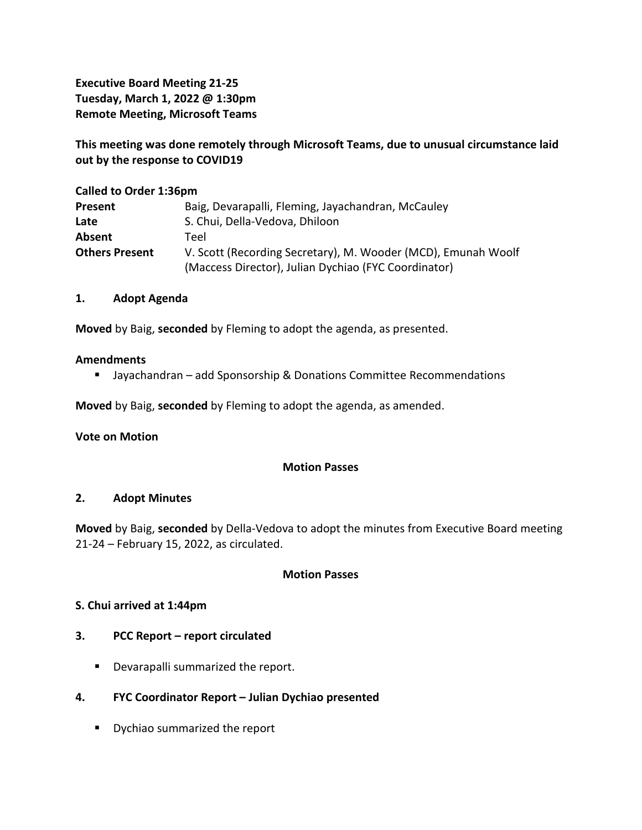**Executive Board Meeting 21-25 Tuesday, March 1, 2022 @ 1:30pm Remote Meeting, Microsoft Teams**

**This meeting was done remotely through Microsoft Teams, due to unusual circumstance laid out by the response to COVID19**

| <b>Called to Order 1:36pm</b> |                                                               |
|-------------------------------|---------------------------------------------------------------|
| Present                       | Baig, Devarapalli, Fleming, Jayachandran, McCauley            |
| Late                          | S. Chui, Della-Vedova, Dhiloon                                |
| Absent                        | Teel                                                          |
| <b>Others Present</b>         | V. Scott (Recording Secretary), M. Wooder (MCD), Emunah Woolf |
|                               | (Maccess Director), Julian Dychiao (FYC Coordinator)          |

## **1. Adopt Agenda**

**Moved** by Baig, **seconded** by Fleming to adopt the agenda, as presented.

#### **Amendments**

■ Jayachandran – add Sponsorship & Donations Committee Recommendations

**Moved** by Baig, **seconded** by Fleming to adopt the agenda, as amended.

**Vote on Motion**

### **Motion Passes**

### **2. Adopt Minutes**

**Moved** by Baig, **seconded** by Della-Vedova to adopt the minutes from Executive Board meeting 21-24 – February 15, 2022, as circulated.

#### **Motion Passes**

### **S. Chui arrived at 1:44pm**

### **3. PCC Report – report circulated**

- **•** Devarapalli summarized the report.
- **4. FYC Coordinator Report – Julian Dychiao presented**
	- **•** Dychiao summarized the report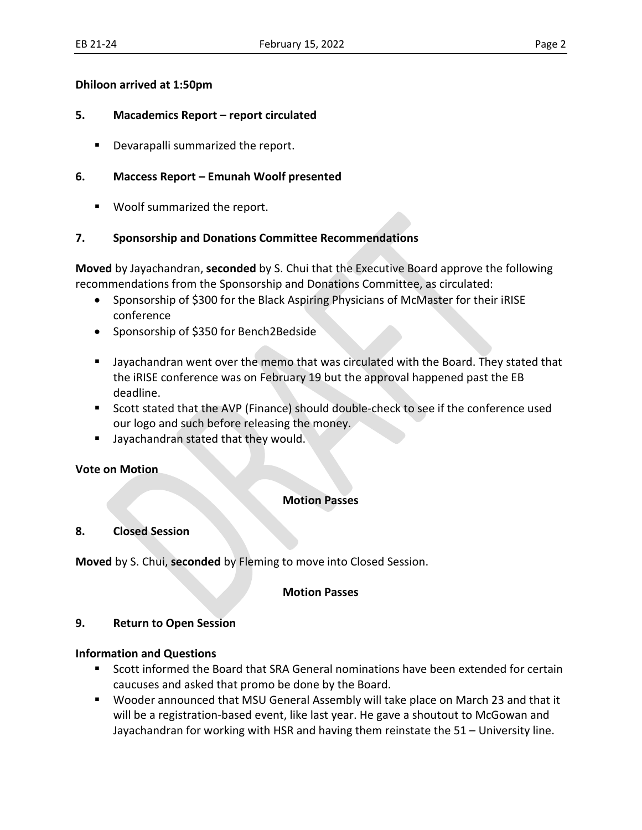### **Dhiloon arrived at 1:50pm**

## **5. Macademics Report – report circulated**

Devarapalli summarized the report.

# **6. Maccess Report – Emunah Woolf presented**

Woolf summarized the report.

# **7. Sponsorship and Donations Committee Recommendations**

**Moved** by Jayachandran, **seconded** by S. Chui that the Executive Board approve the following recommendations from the Sponsorship and Donations Committee, as circulated:

- Sponsorship of \$300 for the Black Aspiring Physicians of McMaster for their iRISE conference
- Sponsorship of \$350 for Bench2Bedside
- Jayachandran went over the memo that was circulated with the Board. They stated that the iRISE conference was on February 19 but the approval happened past the EB deadline.
- Scott stated that the AVP (Finance) should double-check to see if the conference used our logo and such before releasing the money.
- Jayachandran stated that they would.

## **Vote on Motion**

## **Motion Passes**

## **8. Closed Session**

**Moved** by S. Chui, **seconded** by Fleming to move into Closed Session.

### **Motion Passes**

## **9. Return to Open Session**

## **Information and Questions**

- Scott informed the Board that SRA General nominations have been extended for certain caucuses and asked that promo be done by the Board.
- Wooder announced that MSU General Assembly will take place on March 23 and that it will be a registration-based event, like last year. He gave a shoutout to McGowan and Jayachandran for working with HSR and having them reinstate the 51 – University line.